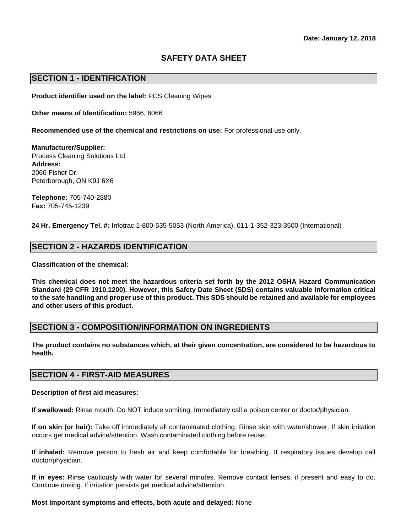# **SAFETY DATA SHEET**

### **SECTION 1 - IDENTIFICATION**

**Product identifier used on the label:** PCS Cleaning Wipes

**Other means of Identification:** 5966, 6066

**Recommended use of the chemical and restrictions on use:** For professional use only.

**Manufacturer/Supplier:**  Process Cleaning Solutions Ltd. **Address:**  2060 Fisher Dr. Peterborough, ON K9J 6X6

**Telephone:** 705-740-2880 **Fax:** 705-745-1239

**24 Hr. Emergency Tel. #:** Infotrac 1-800-535-5053 (North America), 011-1-352-323-3500 (International)

### **SECTION 2 - HAZARDS IDENTIFICATION**

**Classification of the chemical:** 

**This chemical does not meet the hazardous criteria set forth by the 2012 OSHA Hazard Communication Standard (29 CFR 1910.1200). However, this Safety Date Sheet (SDS) contains valuable information critical to the safe handling and proper use of this product. This SDS should be retained and available for employees and other users of this product.** 

### **SECTION 3 - COMPOSITION/INFORMATION ON INGREDIENTS**

**The product contains no substances which, at their given concentration, are considered to be hazardous to health.** 

### **SECTION 4 - FIRST-AID MEASURES**

#### **Description of first aid measures:**

**If swallowed:** Rinse mouth. Do NOT induce vomiting. Immediately call a poison center or doctor/physician.

**If on skin (or hair):** Take off immediately all contaminated clothing. Rinse skin with water/shower. If skin irritation occurs get medical advice/attention. Wash contaminated clothing before reuse.

**If inhaled:** Remove person to fresh air and keep comfortable for breathing. If respiratory issues develop call doctor/physician.

**If in eyes:** Rinse cautiously with water for several minutes. Remove contact lenses, if present and easy to do. Continue rinsing. If irritation persists get medical advice/attention.

#### **Most Important symptoms and effects, both acute and delayed:** None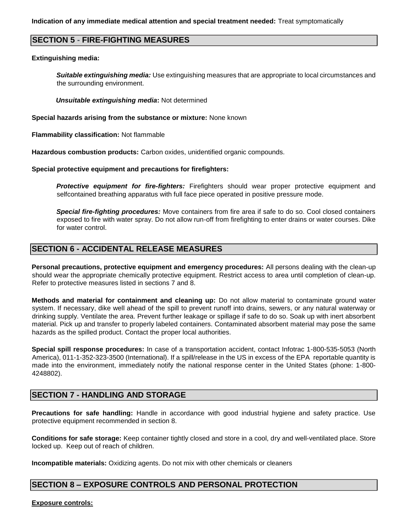### **SECTION 5 - FIRE-FIGHTING MEASURES**

#### **Extinguishing media:**

*Suitable extinguishing media:* Use extinguishing measures that are appropriate to local circumstances and the surrounding environment.

*Unsuitable extinguishing media***:** Not determined

**Special hazards arising from the substance or mixture:** None known

**Flammability classification:** Not flammable

**Hazardous combustion products:** Carbon oxides, unidentified organic compounds.

**Special protective equipment and precautions for firefighters:** 

*Protective equipment for fire-fighters:* Firefighters should wear proper protective equipment and selfcontained breathing apparatus with full face piece operated in positive pressure mode.

*Special fire-fighting procedures:* Move containers from fire area if safe to do so. Cool closed containers exposed to fire with water spray. Do not allow run-off from firefighting to enter drains or water courses. Dike for water control.

### **SECTION 6 - ACCIDENTAL RELEASE MEASURES**

**Personal precautions, protective equipment and emergency procedures:** All persons dealing with the clean-up should wear the appropriate chemically protective equipment. Restrict access to area until completion of clean-up. Refer to protective measures listed in sections 7 and 8.

**Methods and material for containment and cleaning up:** Do not allow material to contaminate ground water system. If necessary, dike well ahead of the spill to prevent runoff into drains, sewers, or any natural waterway or drinking supply. Ventilate the area. Prevent further leakage or spillage if safe to do so. Soak up with inert absorbent material. Pick up and transfer to properly labeled containers. Contaminated absorbent material may pose the same hazards as the spilled product. Contact the proper local authorities.

**Special spill response procedures:** In case of a transportation accident, contact Infotrac 1-800-535-5053 (North America), 011-1-352-323-3500 (International). If a spill/release in the US in excess of the EPA reportable quantity is made into the environment, immediately notify the national response center in the United States (phone: 1-800- 4248802).

## **SECTION 7 - HANDLING AND STORAGE**

**Precautions for safe handling:** Handle in accordance with good industrial hygiene and safety practice. Use protective equipment recommended in section 8.

**Conditions for safe storage:** Keep container tightly closed and store in a cool, dry and well-ventilated place. Store locked up. Keep out of reach of children.

**Incompatible materials:** Oxidizing agents. Do not mix with other chemicals or cleaners

## **SECTION 8 – EXPOSURE CONTROLS AND PERSONAL PROTECTION**

**Exposure controls:**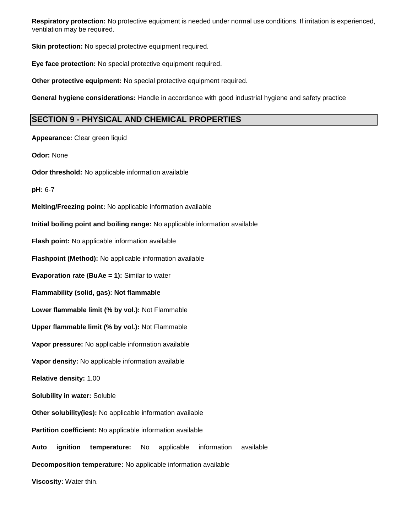**Respiratory protection:** No protective equipment is needed under normal use conditions. If irritation is experienced, ventilation may be required.

**Skin protection:** No special protective equipment required.

**Eye face protection:** No special protective equipment required.

**Other protective equipment:** No special protective equipment required.

**General hygiene considerations:** Handle in accordance with good industrial hygiene and safety practice

## **SECTION 9 - PHYSICAL AND CHEMICAL PROPERTIES**

**Appearance:** Clear green liquid **Odor:** None **Odor threshold:** No applicable information available **pH:** 6-7 **Melting/Freezing point:** No applicable information available **Initial boiling point and boiling range:** No applicable information available **Flash point:** No applicable information available **Flashpoint (Method):** No applicable information available **Evaporation rate (BuAe = 1):** Similar to water **Flammability (solid, gas): Not flammable Lower flammable limit (% by vol.):** Not Flammable **Upper flammable limit (% by vol.):** Not Flammable **Vapor pressure:** No applicable information available **Vapor density:** No applicable information available **Relative density:** 1.00 **Solubility in water:** Soluble **Other solubility(ies):** No applicable information available **Partition coefficient:** No applicable information available **Auto ignition temperature:** No applicable information available **Decomposition temperature:** No applicable information available **Viscosity:** Water thin.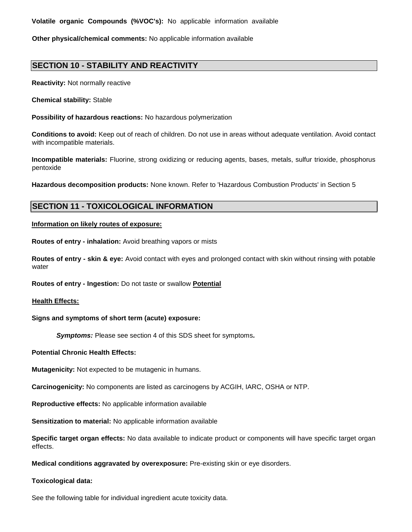**Volatile organic Compounds (%VOC's):** No applicable information available

**Other physical/chemical comments:** No applicable information available

# **SECTION 10 - STABILITY AND REACTIVITY**

**Reactivity:** Not normally reactive

**Chemical stability:** Stable

**Possibility of hazardous reactions:** No hazardous polymerization

**Conditions to avoid:** Keep out of reach of children. Do not use in areas without adequate ventilation. Avoid contact with incompatible materials.

**Incompatible materials:** Fluorine, strong oxidizing or reducing agents, bases, metals, sulfur trioxide, phosphorus pentoxide

**Hazardous decomposition products:** None known. Refer to 'Hazardous Combustion Products' in Section 5

## **SECTION 11 - TOXICOLOGICAL INFORMATION**

**Information on likely routes of exposure:**

**Routes of entry - inhalation:** Avoid breathing vapors or mists

**Routes of entry - skin & eye:** Avoid contact with eyes and prolonged contact with skin without rinsing with potable water

**Routes of entry - Ingestion:** Do not taste or swallow **Potential** 

#### **Health Effects:**

### **Signs and symptoms of short term (acute) exposure:**

*Symptoms:* Please see section 4 of this SDS sheet for symptoms*.*

**Potential Chronic Health Effects:**

**Mutagenicity:** Not expected to be mutagenic in humans.

**Carcinogenicity:** No components are listed as carcinogens by ACGIH, IARC, OSHA or NTP.

**Reproductive effects:** No applicable information available

**Sensitization to material:** No applicable information available

**Specific target organ effects:** No data available to indicate product or components will have specific target organ effects.

**Medical conditions aggravated by overexposure:** Pre-existing skin or eye disorders.

#### **Toxicological data:**

See the following table for individual ingredient acute toxicity data.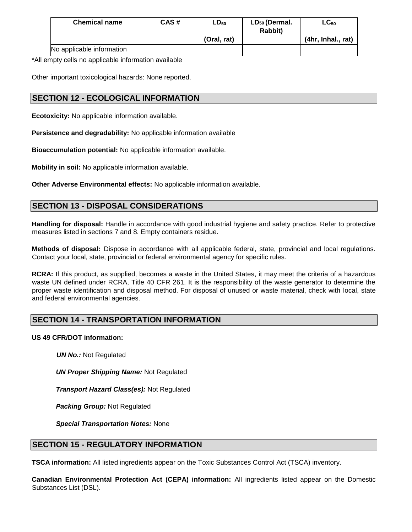| <b>Chemical name</b>      | CAS# | $LD_{50}$   | LD <sub>50</sub> (Dermal.<br><b>Rabbit)</b> | $LC_{50}$          |
|---------------------------|------|-------------|---------------------------------------------|--------------------|
|                           |      | (Oral, rat) |                                             | (4hr, Inhal., rat) |
| No applicable information |      |             |                                             |                    |

\*All empty cells no applicable information available

Other important toxicological hazards: None reported.

# **SECTION 12 - ECOLOGICAL INFORMATION**

**Ecotoxicity:** No applicable information available.

**Persistence and degradability:** No applicable information available

**Bioaccumulation potential:** No applicable information available.

**Mobility in soil:** No applicable information available.

**Other Adverse Environmental effects:** No applicable information available.

# **SECTION 13 - DISPOSAL CONSIDERATIONS**

**Handling for disposal:** Handle in accordance with good industrial hygiene and safety practice. Refer to protective measures listed in sections 7 and 8. Empty containers residue.

**Methods of disposal:** Dispose in accordance with all applicable federal, state, provincial and local regulations. Contact your local, state, provincial or federal environmental agency for specific rules.

**RCRA:** If this product, as supplied, becomes a waste in the United States, it may meet the criteria of a hazardous waste UN defined under RCRA, Title 40 CFR 261. It is the responsibility of the waste generator to determine the proper waste identification and disposal method. For disposal of unused or waste material, check with local, state and federal environmental agencies.

# **SECTION 14 - TRANSPORTATION INFORMATION**

### **US 49 CFR/DOT information:**

*UN No.:* Not Regulated

*UN Proper Shipping Name:* Not Regulated

*Transport Hazard Class(es):* Not Regulated

*Packing Group:* Not Regulated

*Special Transportation Notes:* None

## **SECTION 15 - REGULATORY INFORMATION**

**TSCA information:** All listed ingredients appear on the Toxic Substances Control Act (TSCA) inventory.

**Canadian Environmental Protection Act (CEPA) information:** All ingredients listed appear on the Domestic Substances List (DSL).